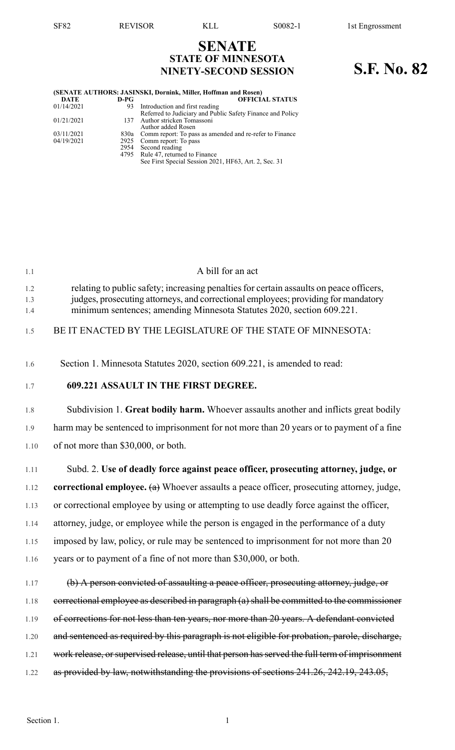## **SENATE STATE OF MINNESOTA NINETY-SECOND SESSION S.F. No. 82**

| (SENATE AUTHORS: JASINSKI, Dornink, Miller, Hoffman and Rosen) |        |                                                              |  |  |  |
|----------------------------------------------------------------|--------|--------------------------------------------------------------|--|--|--|
| <b>DATE</b>                                                    | $D-PG$ | <b>OFFICIAL STATUS</b>                                       |  |  |  |
| 01/14/2021                                                     | 93.    | Introduction and first reading                               |  |  |  |
|                                                                |        | Referred to Judiciary and Public Safety Finance and Policy   |  |  |  |
| 01/21/2021                                                     |        | 137 Author stricken Tomassoni                                |  |  |  |
|                                                                |        | Author added Rosen                                           |  |  |  |
| 03/11/2021                                                     |        | 830a Comm report: To pass as amended and re-refer to Finance |  |  |  |
| 04/19/2021                                                     |        | 2925 Comm report: To pass                                    |  |  |  |
|                                                                |        | 2954 Second reading                                          |  |  |  |
|                                                                |        | 4795 Rule 47, returned to Finance                            |  |  |  |
|                                                                |        | See First Special Session 2021, HF63, Art. 2, Sec. 31        |  |  |  |

| 1.1               | A bill for an act                                                                                                                                                                                                                                      |
|-------------------|--------------------------------------------------------------------------------------------------------------------------------------------------------------------------------------------------------------------------------------------------------|
| 1.2<br>1.3<br>1.4 | relating to public safety; increasing penalties for certain assaults on peace officers,<br>judges, prosecuting attorneys, and correctional employees; providing for mandatory<br>minimum sentences; amending Minnesota Statutes 2020, section 609.221. |
| 1.5               | BE IT ENACTED BY THE LEGISLATURE OF THE STATE OF MINNESOTA:                                                                                                                                                                                            |
| 1.6               | Section 1. Minnesota Statutes 2020, section 609.221, is amended to read:                                                                                                                                                                               |
| 1.7               | <b>609.221 ASSAULT IN THE FIRST DEGREE.</b>                                                                                                                                                                                                            |
| 1.8               | Subdivision 1. Great bodily harm. Whoever assaults another and inflicts great bodily                                                                                                                                                                   |
| 1.9               | harm may be sentenced to imprisonment for not more than 20 years or to payment of a fine                                                                                                                                                               |
| 1.10              | of not more than \$30,000, or both.                                                                                                                                                                                                                    |
| 1.11              | Subd. 2. Use of deadly force against peace officer, prosecuting attorney, judge, or                                                                                                                                                                    |
| 1.12              | <b>correctional employee.</b> $(a)$ Whoever assaults a peace officer, prosecuting attorney, judge,                                                                                                                                                     |
| 1.13              | or correctional employee by using or attempting to use deadly force against the officer,                                                                                                                                                               |
| 1.14              | attorney, judge, or employee while the person is engaged in the performance of a duty                                                                                                                                                                  |
| 1.15              | imposed by law, policy, or rule may be sentenced to imprisonment for not more than 20                                                                                                                                                                  |
| 1.16              | years or to payment of a fine of not more than \$30,000, or both.                                                                                                                                                                                      |
| 1.17              | (b) A person convicted of assaulting a peace officer, prosecuting attorney, judge, or                                                                                                                                                                  |
| 1.18              | eorrectional employee as described in paragraph (a) shall be committed to the commissioner                                                                                                                                                             |
| 1.19              | of corrections for not less than ten years, nor more than 20 years. A defendant convicted                                                                                                                                                              |
| 1.20              | and sentenced as required by this paragraph is not eligible for probation, parole, discharge,                                                                                                                                                          |
| 1.21              | work release, or supervised release, until that person has served the full term of imprisonment                                                                                                                                                        |
| 1.22              | as provided by law, notwithstanding the provisions of sections 241.26, 242.19, 243.05,                                                                                                                                                                 |
|                   |                                                                                                                                                                                                                                                        |
| Section 1.        | $\mathbf{1}$                                                                                                                                                                                                                                           |
|                   |                                                                                                                                                                                                                                                        |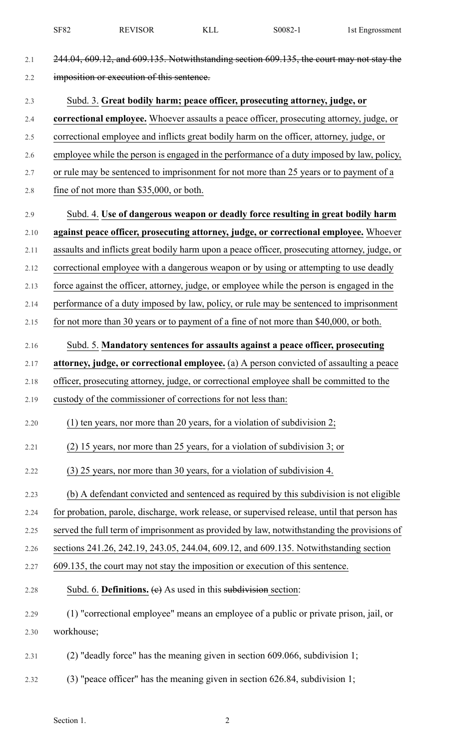|      | <b>SF82</b> | <b>REVISOR</b>                                                   | <b>KLL</b> | S0082-1                                                                                       | 1st Engrossment |
|------|-------------|------------------------------------------------------------------|------------|-----------------------------------------------------------------------------------------------|-----------------|
| 2.1  |             |                                                                  |            | 244.04, 609.12, and 609.135. Notwithstanding section 609.135, the court may not stay the      |                 |
| 2.2  |             | imposition or execution of this sentence.                        |            |                                                                                               |                 |
| 2.3  |             |                                                                  |            | Subd. 3. Great bodily harm; peace officer, prosecuting attorney, judge, or                    |                 |
| 2.4  |             |                                                                  |            | correctional employee. Whoever assaults a peace officer, prosecuting attorney, judge, or      |                 |
| 2.5  |             |                                                                  |            | correctional employee and inflicts great bodily harm on the officer, attorney, judge, or      |                 |
| 2.6  |             |                                                                  |            | employee while the person is engaged in the performance of a duty imposed by law, policy,     |                 |
| 2.7  |             |                                                                  |            | or rule may be sentenced to imprisonment for not more than 25 years or to payment of a        |                 |
| 2.8  |             | fine of not more than \$35,000, or both.                         |            |                                                                                               |                 |
| 2.9  |             |                                                                  |            | Subd. 4. Use of dangerous weapon or deadly force resulting in great bodily harm               |                 |
| 2.10 |             |                                                                  |            | against peace officer, prosecuting attorney, judge, or correctional employee. Whoever         |                 |
| 2.11 |             |                                                                  |            | assaults and inflicts great bodily harm upon a peace officer, prosecuting attorney, judge, or |                 |
| 2.12 |             |                                                                  |            | correctional employee with a dangerous weapon or by using or attempting to use deadly         |                 |
| 2.13 |             |                                                                  |            | force against the officer, attorney, judge, or employee while the person is engaged in the    |                 |
| 2.14 |             |                                                                  |            | performance of a duty imposed by law, policy, or rule may be sentenced to imprisonment        |                 |
| 2.15 |             |                                                                  |            | for not more than 30 years or to payment of a fine of not more than \$40,000, or both.        |                 |
| 2.16 |             |                                                                  |            | Subd. 5. Mandatory sentences for assaults against a peace officer, prosecuting                |                 |
| 2.17 |             |                                                                  |            | attorney, judge, or correctional employee. (a) A person convicted of assaulting a peace       |                 |
| 2.18 |             |                                                                  |            | officer, prosecuting attorney, judge, or correctional employee shall be committed to the      |                 |
| 2.19 |             | custody of the commissioner of corrections for not less than:    |            |                                                                                               |                 |
| 2.20 |             |                                                                  |            | $(1)$ ten years, nor more than 20 years, for a violation of subdivision 2;                    |                 |
| 2.21 |             |                                                                  |            | (2) 15 years, nor more than 25 years, for a violation of subdivision 3; or                    |                 |
| 2.22 |             |                                                                  |            | (3) 25 years, nor more than 30 years, for a violation of subdivision 4.                       |                 |
| 2.23 |             |                                                                  |            | (b) A defendant convicted and sentenced as required by this subdivision is not eligible       |                 |
| 2.24 |             |                                                                  |            | for probation, parole, discharge, work release, or supervised release, until that person has  |                 |
| 2.25 |             |                                                                  |            | served the full term of imprisonment as provided by law, notwithstanding the provisions of    |                 |
| 2.26 |             |                                                                  |            | sections 241.26, 242.19, 243.05, 244.04, 609.12, and 609.135. Notwithstanding section         |                 |
| 2.27 |             |                                                                  |            | 609.135, the court may not stay the imposition or execution of this sentence.                 |                 |
| 2.28 |             | Subd. 6. Definitions. $(e)$ As used in this subdivision section: |            |                                                                                               |                 |
| 2.29 |             |                                                                  |            | (1) "correctional employee" means an employee of a public or private prison, jail, or         |                 |
| 2.30 | workhouse;  |                                                                  |            |                                                                                               |                 |
| 2.31 |             |                                                                  |            | $(2)$ "deadly force" has the meaning given in section 609.066, subdivision 1;                 |                 |
| 2.32 |             |                                                                  |            | $(3)$ "peace officer" has the meaning given in section 626.84, subdivision 1;                 |                 |